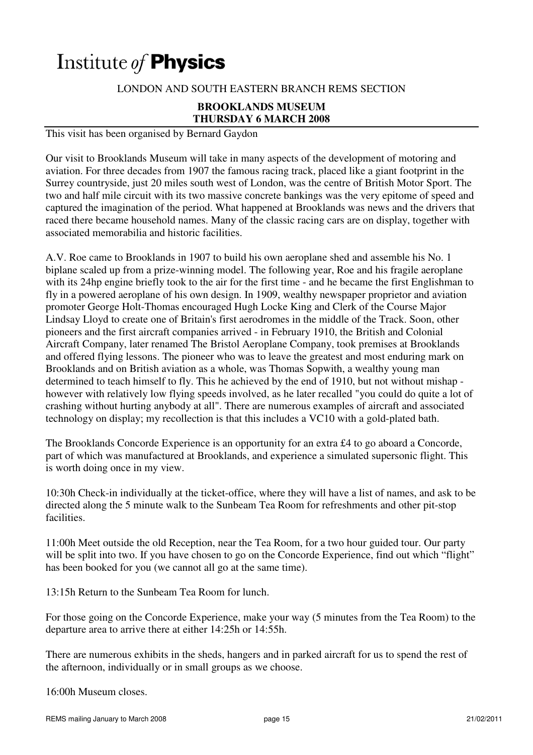# Institute of **Physics**

## LONDON AND SOUTH EASTERN BRANCH REMS SECTION

#### **BROOKLANDS MUSEUM THURSDAY 6 MARCH 2008**

This visit has been organised by Bernard Gaydon

Our visit to Brooklands Museum will take in many aspects of the development of motoring and aviation. For three decades from 1907 the famous racing track, placed like a giant footprint in the Surrey countryside, just 20 miles south west of London, was the centre of British Motor Sport. The two and half mile circuit with its two massive concrete bankings was the very epitome of speed and captured the imagination of the period. What happened at Brooklands was news and the drivers that raced there became household names. Many of the classic racing cars are on display, together with associated memorabilia and historic facilities.

A.V. Roe came to Brooklands in 1907 to build his own aeroplane shed and assemble his No. 1 biplane scaled up from a prize-winning model. The following year, Roe and his fragile aeroplane with its 24hp engine briefly took to the air for the first time - and he became the first Englishman to fly in a powered aeroplane of his own design. In 1909, wealthy newspaper proprietor and aviation promoter George Holt-Thomas encouraged Hugh Locke King and Clerk of the Course Major Lindsay Lloyd to create one of Britain's first aerodromes in the middle of the Track. Soon, other pioneers and the first aircraft companies arrived - in February 1910, the British and Colonial Aircraft Company, later renamed The Bristol Aeroplane Company, took premises at Brooklands and offered flying lessons. The pioneer who was to leave the greatest and most enduring mark on Brooklands and on British aviation as a whole, was Thomas Sopwith, a wealthy young man determined to teach himself to fly. This he achieved by the end of 1910, but not without mishap however with relatively low flying speeds involved, as he later recalled "you could do quite a lot of crashing without hurting anybody at all". There are numerous examples of aircraft and associated technology on display; my recollection is that this includes a VC10 with a gold-plated bath.

The Brooklands Concorde Experience is an opportunity for an extra £4 to go aboard a Concorde, part of which was manufactured at Brooklands, and experience a simulated supersonic flight. This is worth doing once in my view.

10:30h Check-in individually at the ticket-office, where they will have a list of names, and ask to be directed along the 5 minute walk to the Sunbeam Tea Room for refreshments and other pit-stop facilities.

11:00h Meet outside the old Reception, near the Tea Room, for a two hour guided tour. Our party will be split into two. If you have chosen to go on the Concorde Experience, find out which "flight" has been booked for you (we cannot all go at the same time).

13:15h Return to the Sunbeam Tea Room for lunch.

For those going on the Concorde Experience, make your way (5 minutes from the Tea Room) to the departure area to arrive there at either 14:25h or 14:55h.

There are numerous exhibits in the sheds, hangers and in parked aircraft for us to spend the rest of the afternoon, individually or in small groups as we choose.

16:00h Museum closes.